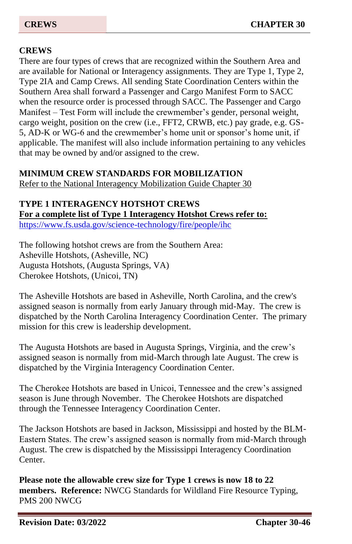### **CREWS**

There are four types of crews that are recognized within the Southern Area and are available for National or Interagency assignments. They are Type 1, Type 2, Type 2IA and Camp Crews. All sending State Coordination Centers within the Southern Area shall forward a Passenger and Cargo Manifest Form to SACC when the resource order is processed through SACC. The Passenger and Cargo Manifest – Test Form will include the crewmember's gender, personal weight, cargo weight, position on the crew (i.e., FFT2, CRWB, etc.) pay grade, e.g. GS-5, AD-K or WG-6 and the crewmember's home unit or sponsor's home unit, if applicable. The manifest will also include information pertaining to any vehicles that may be owned by and/or assigned to the crew.

#### **MINIMUM CREW STANDARDS FOR MOBILIZATION**

Refer to the National Interagency Mobilization Guide Chapter 30

## **TYPE 1 INTERAGENCY HOTSHOT CREWS**

**For a complete list of Type 1 Interagency Hotshot Crews refer to:**  <https://www.fs.usda.gov/science-technology/fire/people/ihc>

The following hotshot crews are from the Southern Area: Asheville Hotshots, (Asheville, NC) Augusta Hotshots, (Augusta Springs, VA) Cherokee Hotshots, (Unicoi, TN)

The Asheville Hotshots are based in Asheville, North Carolina, and the crew's assigned season is normally from early January through mid-May. The crew is dispatched by the North Carolina Interagency Coordination Center. The primary mission for this crew is leadership development.

The Augusta Hotshots are based in Augusta Springs, Virginia, and the crew's assigned season is normally from mid-March through late August. The crew is dispatched by the Virginia Interagency Coordination Center.

The Cherokee Hotshots are based in Unicoi, Tennessee and the crew's assigned season is June through November. The Cherokee Hotshots are dispatched through the Tennessee Interagency Coordination Center.

The Jackson Hotshots are based in Jackson, Mississippi and hosted by the BLM-Eastern States. The crew's assigned season is normally from mid-March through August. The crew is dispatched by the Mississippi Interagency Coordination Center.

**Please note the allowable crew size for Type 1 crews is now 18 to 22 members. Reference:** NWCG Standards for Wildland Fire Resource Typing, PMS 200 NWCG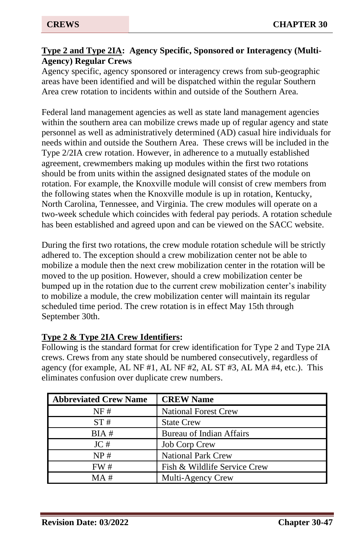#### **Type 2 and Type 2IA: Agency Specific, Sponsored or Interagency (Multi-Agency) Regular Crews**

Agency specific, agency sponsored or interagency crews from sub-geographic areas have been identified and will be dispatched within the regular Southern Area crew rotation to incidents within and outside of the Southern Area.

Federal land management agencies as well as state land management agencies within the southern area can mobilize crews made up of regular agency and state personnel as well as administratively determined (AD) casual hire individuals for needs within and outside the Southern Area. These crews will be included in the Type 2/2IA crew rotation. However, in adherence to a mutually established agreement, crewmembers making up modules within the first two rotations should be from units within the assigned designated states of the module on rotation. For example, the Knoxville module will consist of crew members from the following states when the Knoxville module is up in rotation, Kentucky, North Carolina, Tennessee, and Virginia. The crew modules will operate on a two-week schedule which coincides with federal pay periods. A rotation schedule has been established and agreed upon and can be viewed on the SACC website.

During the first two rotations, the crew module rotation schedule will be strictly adhered to. The exception should a crew mobilization center not be able to mobilize a module then the next crew mobilization center in the rotation will be moved to the up position. However, should a crew mobilization center be bumped up in the rotation due to the current crew mobilization center's inability to mobilize a module, the crew mobilization center will maintain its regular scheduled time period. The crew rotation is in effect May 15th through September 30th.

### **Type 2 & Type 2IA Crew Identifiers:**

Following is the standard format for crew identification for Type 2 and Type 2IA crews. Crews from any state should be numbered consecutively, regardless of agency (for example, AL NF #1, AL NF #2, AL ST #3, AL MA #4, etc.). This eliminates confusion over duplicate crew numbers.

| <b>Abbreviated Crew Name</b> | <b>CREW Name</b>             |
|------------------------------|------------------------------|
| NF#                          | <b>National Forest Crew</b>  |
| ST#                          | <b>State Crew</b>            |
| BIA#                         | Bureau of Indian Affairs     |
| JC#                          | <b>Job Corp Crew</b>         |
| NP#                          | <b>National Park Crew</b>    |
| FW#                          | Fish & Wildlife Service Crew |
| MA#                          | Multi-Agency Crew            |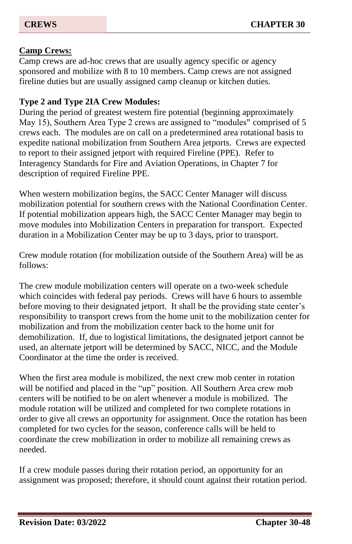#### **Camp Crews:**

Camp crews are ad-hoc crews that are usually agency specific or agency sponsored and mobilize with 8 to 10 members. Camp crews are not assigned fireline duties but are usually assigned camp cleanup or kitchen duties.

#### **Type 2 and Type 2IA Crew Modules:**

During the period of greatest western fire potential (beginning approximately May 15), Southern Area Type 2 crews are assigned to "modules" comprised of 5 crews each. The modules are on call on a predetermined area rotational basis to expedite national mobilization from Southern Area jetports. Crews are expected to report to their assigned jetport with required Fireline (PPE). Refer to Interagency Standards for Fire and Aviation Operations, in Chapter 7 for description of required Fireline PPE.

When western mobilization begins, the SACC Center Manager will discuss mobilization potential for southern crews with the National Coordination Center. If potential mobilization appears high, the SACC Center Manager may begin to move modules into Mobilization Centers in preparation for transport. Expected duration in a Mobilization Center may be up to 3 days, prior to transport.

Crew module rotation (for mobilization outside of the Southern Area) will be as follows:

The crew module mobilization centers will operate on a two-week schedule which coincides with federal pay periods. Crews will have 6 hours to assemble before moving to their designated jetport. It shall be the providing state center's responsibility to transport crews from the home unit to the mobilization center for mobilization and from the mobilization center back to the home unit for demobilization. If, due to logistical limitations, the designated jetport cannot be used, an alternate jetport will be determined by SACC, NICC, and the Module Coordinator at the time the order is received.

When the first area module is mobilized, the next crew mob center in rotation will be notified and placed in the "up" position. All Southern Area crew mob centers will be notified to be on alert whenever a module is mobilized. The module rotation will be utilized and completed for two complete rotations in order to give all crews an opportunity for assignment. Once the rotation has been completed for two cycles for the season, conference calls will be held to coordinate the crew mobilization in order to mobilize all remaining crews as needed.

If a crew module passes during their rotation period, an opportunity for an assignment was proposed; therefore, it should count against their rotation period.